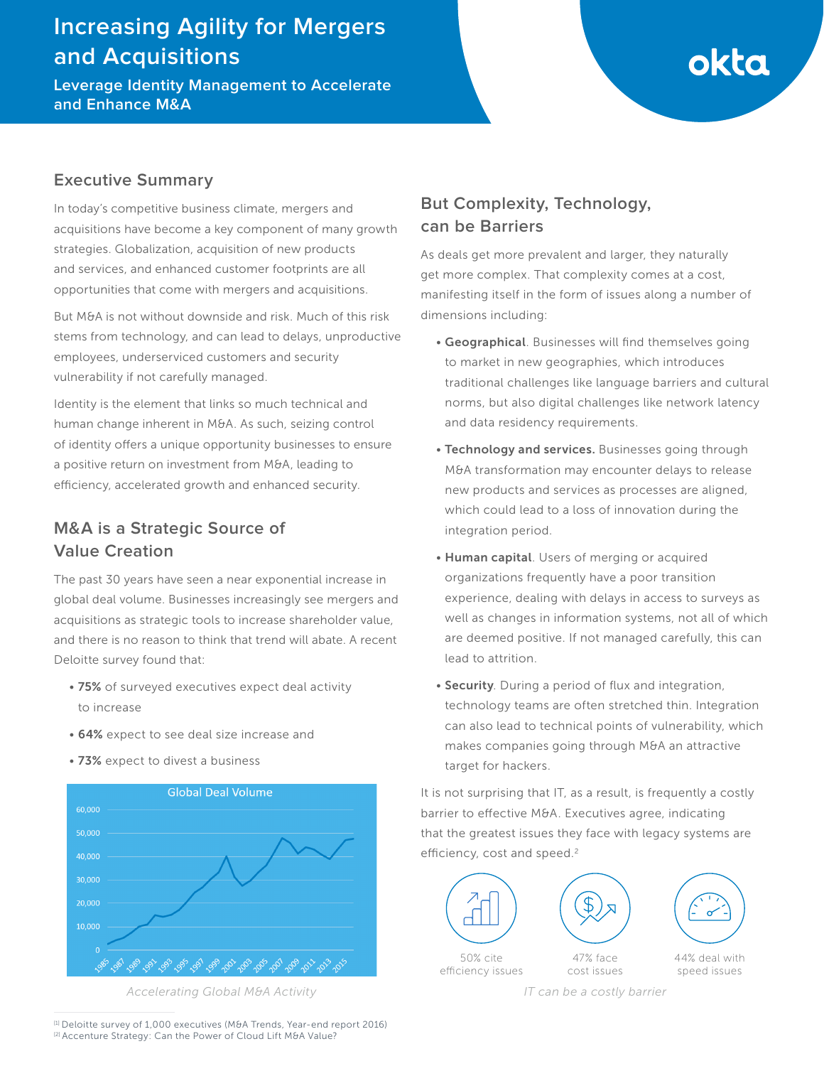## **Increasing Agility for Mergers and Acquisitions**

**Leverage Identity Management to Accelerate and Enhance M&A** 

# okta

### **Executive Summary**

In today's competitive business climate, mergers and acquisitions have become a key component of many growth strategies. Globalization, acquisition of new products and services, and enhanced customer footprints are all opportunities that come with mergers and acquisitions.

But M&A is not without downside and risk. Much of this risk stems from technology, and can lead to delays, unproductive employees, underserviced customers and security vulnerability if not carefully managed.

Identity is the element that links so much technical and human change inherent in M&A. As such, seizing control of identity offers a unique opportunity businesses to ensure a positive return on investment from M&A, leading to efficiency, accelerated growth and enhanced security.

## **M&A is a Strategic Source of Value Creation**

The past 30 years have seen a near exponential increase in global deal volume. Businesses increasingly see mergers and acquisitions as strategic tools to increase shareholder value, and there is no reason to think that trend will abate. A recent Deloitte survey found that:

- 75% of surveyed executives expect deal activity to increase
- 64% expect to see deal size increase and
- 73% expect to divest a business



*Accelerating Global M&A Activity*

**can be Barriers** As deals get more prevalent and larger, they naturally

**But Complexity, Technology,** 

get more complex. That complexity comes at a cost, manifesting itself in the form of issues along a number of dimensions including:

- Geographical. Businesses will find themselves going to market in new geographies, which introduces traditional challenges like language barriers and cultural norms, but also digital challenges like network latency and data residency requirements.
- Technology and services. Businesses going through M&A transformation may encounter delays to release new products and services as processes are aligned, which could lead to a loss of innovation during the integration period.
- Human capital. Users of merging or acquired organizations frequently have a poor transition experience, dealing with delays in access to surveys as well as changes in information systems, not all of which are deemed positive. If not managed carefully, this can lead to attrition.
- Security. During a period of flux and integration, technology teams are often stretched thin. Integration can also lead to technical points of vulnerability, which makes companies going through M&A an attractive target for hackers.

It is not surprising that IT, as a result, is frequently a costly barrier to effective M&A. Executives agree, indicating that the greatest issues they face with legacy systems are efficiency, cost and speed.<sup>2</sup>







50% cite efficiency issues

47% face cost issues 44% deal with speed issues

*IT can be a costly barrier*

[1] Deloitte survey of 1,000 executives (M&A Trends, Year-end report 2016) [2] Accenture Strategy: Can the Power of Cloud Lift M&A Value?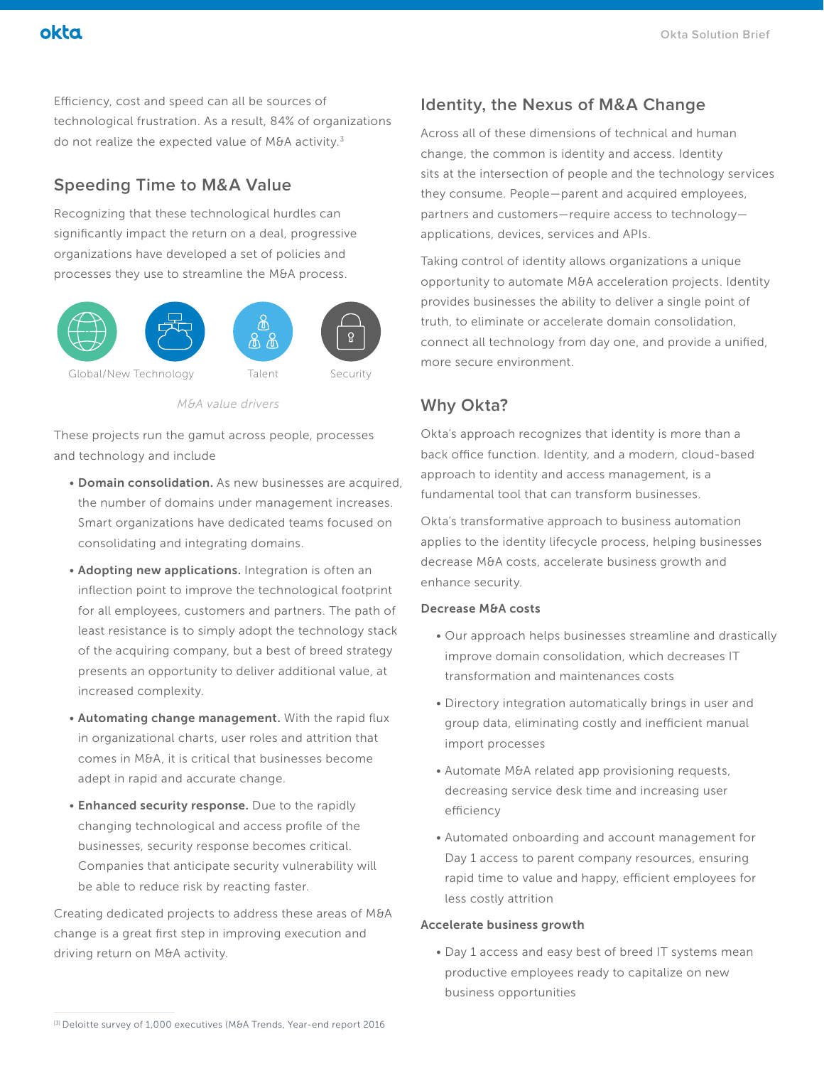## okta

Efficiency, cost and speed can all be sources of technological frustration. As a result, 84% of organizations do not realize the expected value of M&A activity. $3$ 

## **Speeding Time to M&A Value**

Recognizing that these technological hurdles can significantly impact the return on a deal, progressive organizations have developed a set of policies and processes they use to streamline the M&A process.



*M&A value drivers*

These projects run the gamut across people, processes and technology and include

- Domain consolidation. As new businesses are acquired, the number of domains under management increases. Smart organizations have dedicated teams focused on consolidating and integrating domains.
- Adopting new applications. Integration is often an inflection point to improve the technological footprint for all employees, customers and partners. The path of least resistance is to simply adopt the technology stack of the acquiring company, but a best of breed strategy presents an opportunity to deliver additional value, at increased complexity.
- Automating change management. With the rapid flux in organizational charts, user roles and attrition that comes in M&A, it is critical that businesses become adept in rapid and accurate change.
- Enhanced security response. Due to the rapidly changing technological and access profile of the businesses, security response becomes critical. Companies that anticipate security vulnerability will be able to reduce risk by reacting faster.

Creating dedicated projects to address these areas of M&A change is a great first step in improving execution and driving return on M&A activity.

## **Identity, the Nexus of M&A Change**

Across all of these dimensions of technical and human change, the common is identity and access. Identity sits at the intersection of people and the technology services they consume. People—parent and acquired employees, partners and customers—require access to technology applications, devices, services and APIs.

Taking control of identity allows organizations a unique opportunity to automate M&A acceleration projects. Identity provides businesses the ability to deliver a single point of truth, to eliminate or accelerate domain consolidation, connect all technology from day one, and provide a unified, more secure environment.

## **Why Okta?**

Okta's approach recognizes that identity is more than a back office function. Identity, and a modern, cloud-based approach to identity and access management, is a fundamental tool that can transform businesses.

Okta's transformative approach to business automation applies to the identity lifecycle process, helping businesses decrease M&A costs, accelerate business growth and enhance security.

#### Decrease M&A costs

- Our approach helps businesses streamline and drastically improve domain consolidation, which decreases IT transformation and maintenances costs
- Directory integration automatically brings in user and group data, eliminating costly and inefficient manual import processes
- Automate M&A related app provisioning requests, decreasing service desk time and increasing user efficiency
- Automated onboarding and account management for Day 1 access to parent company resources, ensuring rapid time to value and happy, efficient employees for less costly attrition

#### Accelerate business growth

• Day 1 access and easy best of breed IT systems mean productive employees ready to capitalize on new business opportunities

<sup>[3]</sup> Deloitte survey of 1,000 executives (M&A Trends, Year-end report 2016